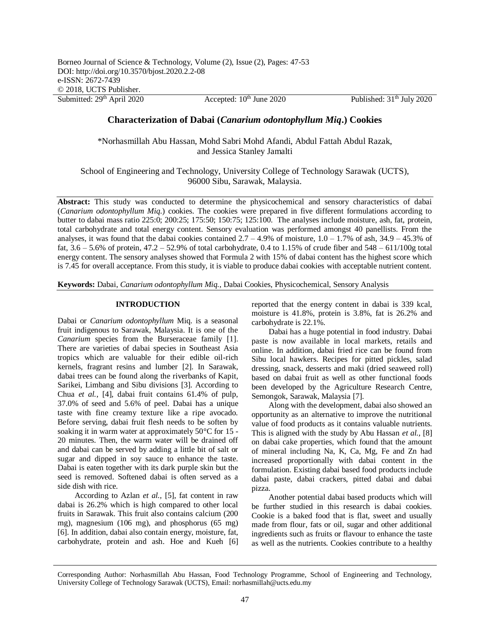Submitted:  $29<sup>th</sup>$  April 2020 Accepted:  $10<sup>th</sup>$  June 2020 Published:  $31<sup>th</sup>$  July 2020

# **Characterization of Dabai (***Canarium odontophyllum Miq***.) Cookies**

\*Norhasmillah Abu Hassan, Mohd Sabri Mohd Afandi, Abdul Fattah Abdul Razak, and Jessica Stanley Jamalti

School of Engineering and Technology, University College of Technology Sarawak (UCTS), 96000 Sibu, Sarawak, Malaysia.

**Abstract:** This study was conducted to determine the physicochemical and sensory characteristics of dabai (*Canarium odontophyllum Miq*.) cookies. The cookies were prepared in five different formulations according to butter to dabai mass ratio 225:0; 200:25; 175:50; 150:75; 125:100. The analyses include moisture, ash, fat, protein, total carbohydrate and total energy content. Sensory evaluation was performed amongst 40 panellists. From the analyses, it was found that the dabai cookies contained  $2.7 - 4.9\%$  of moisture,  $1.0 - 1.7\%$  of ash,  $34.9 - 45.3\%$  of fat,  $3.6 - 5.6\%$  of protein,  $47.2 - 52.9\%$  of total carbohydrate, 0.4 to 1.15% of crude fiber and  $548 - 611/100$ g total energy content. The sensory analyses showed that Formula 2 with 15% of dabai content has the highest score which is 7.45 for overall acceptance. From this study, it is viable to produce dabai cookies with acceptable nutrient content.

**Keywords:** Dabai, *Canarium odontophyllum Miq.*, Dabai Cookies, Physicochemical, Sensory Analysis

## **INTRODUCTION**

Dabai or *Canarium odontophyllum* Miq. is a seasonal fruit indigenous to Sarawak, Malaysia. It is one of the *Canarium* species from the Burseraceae family [1]. There are varieties of dabai species in Southeast Asia tropics which are valuable for their edible oil-rich kernels, fragrant resins and lumber [2]. In Sarawak, dabai trees can be found along the riverbanks of Kapit, Sarikei, Limbang and Sibu divisions [3]. According to Chua *et al.*, [4], dabai fruit contains 61.4% of pulp, 37.0% of seed and 5.6% of peel. Dabai has a unique taste with fine creamy texture like a ripe avocado. Before serving, dabai fruit flesh needs to be soften by soaking it in warm water at approximately 50°C for 15 - 20 minutes. Then, the warm water will be drained off and dabai can be served by adding a little bit of salt or sugar and dipped in soy sauce to enhance the taste. Dabai is eaten together with its dark purple skin but the seed is removed. Softened dabai is often served as a side dish with rice.

According to Azlan *et al.,* [5], fat content in raw dabai is 26.2% which is high compared to other local fruits in Sarawak. This fruit also contains calcium (200 mg), magnesium (106 mg), and phosphorus (65 mg) [6]. In addition, dabai also contain energy, moisture, fat, carbohydrate, protein and ash. Hoe and Kueh [6] reported that the energy content in dabai is 339 kcal, moisture is 41.8%, protein is 3.8%, fat is 26.2% and carbohydrate is 22.1%.

Dabai has a huge potential in food industry. Dabai paste is now available in local markets, retails and online. In addition, dabai fried rice can be found from Sibu local hawkers. Recipes for pitted pickles, salad dressing, snack, desserts and maki (dried seaweed roll) based on dabai fruit as well as other functional foods been developed by the Agriculture Research Centre, Semongok, Sarawak, Malaysia [7].

Along with the development, dabai also showed an opportunity as an alternative to improve the nutritional value of food products as it contains valuable nutrients. This is aligned with the study by Abu Hassan *et al.,* [8] on dabai cake properties, which found that the amount of mineral including Na, K, Ca, Mg, Fe and Zn had increased proportionally with dabai content in the formulation. Existing dabai based food products include dabai paste, dabai crackers, pitted dabai and dabai pizza.

Another potential dabai based products which will be further studied in this research is dabai cookies. Cookie is a baked food that is flat, sweet and usually made from flour, fats or oil, sugar and other additional ingredients such as fruits or flavour to enhance the taste as well as the nutrients. Cookies contribute to a healthy

Corresponding Author: Norhasmillah Abu Hassan, Food Technology Programme, School of Engineering and Technology, University College of Technology Sarawak (UCTS), Email: norhasmillah@ucts.edu.my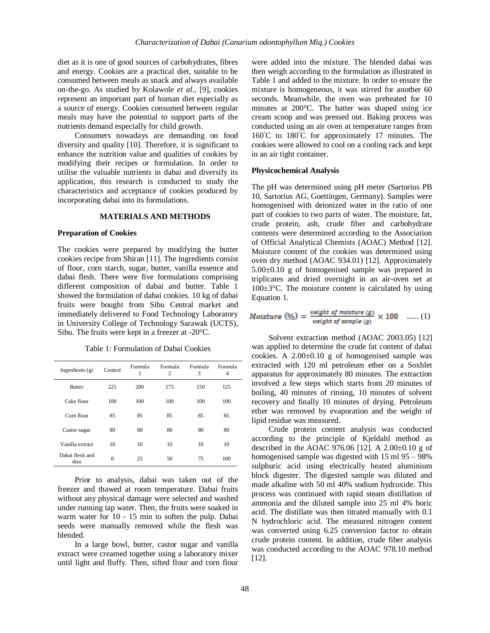diet as it is one of good sources of carbohydrates, fibres and energy. Cookies are a practical diet, suitable to be consumed between meals as snack and always available on-the-go. As studied by Kolawole *et al.,* [9], cookies represent an important part of human diet especially as a source of energy. Cookies consumed between regular meals may have the potential to support parts of the nutrients demand especially for child growth.

Consumers nowadays are demanding on food diversity and quality [10]. Therefore, it is significant to enhance the nutrition value and qualities of cookies by modifying their recipes or formulation. In order to utilise the valuable nutrients in dabai and diversify its application, this research is conducted to study the characteristics and acceptance of cookies produced by incorporating dabai into its formulations.

## **MATERIALS AND METHODS**

### **Preparation of Cookies**

The cookies were prepared by modifying the butter cookies recipe from Shiran [11]. The ingredients consist of flour, corn starch, sugar, butter, vanilla essence and dabai flesh. There were five formulations comprising different composition of dabai and butter. Table 1 showed the formulation of dabai cookies. 10 kg of dabai fruits were bought from Sibu Central market and immediately delivered to Food Technology Laboratory in University College of Technology Sarawak (UCTS), Sibu. The fruits were kept in a freezer at -20°C.

Table 1: Formulation of Dabai Cookies

| Ingredients $(g)$       | Control  | Formula<br>1 | Formula<br>2 | Formula<br>3 | Formula<br>4 |
|-------------------------|----------|--------------|--------------|--------------|--------------|
| <b>Butter</b>           | 225      | 200          | 175          | 150          | 125          |
| Cake flour              | 100      | 100          | 100          | 100          | 100          |
| Corn flour              | 85       | 85           | 85           | 85           | 85           |
| Castor sugar            | 80       | 80           | 80           | 80           | 80           |
| Vanilla extract         | 10       | 10           | 10           | 10           | 10           |
| Dabai flesh and<br>skin | $\theta$ | 25           | 50           | 75           | 100          |

Prior to analysis, dabai was taken out of the freezer and thawed at room temperature. Dabai fruits without any physical damage were selected and washed under running tap water. Then, the fruits were soaked in warm water for 10 - 15 min to soften the pulp. Dabai seeds were manually removed while the flesh was blended.

In a large bowl, butter, castor sugar and vanilla extract were creamed together using a laboratory mixer until light and fluffy. Then, sifted flour and corn flour were added into the mixture. The blended dabai was then weigh according to the formulation as illustrated in Table 1 and added to the mixture. In order to ensure the mixture is homogeneous, it was stirred for another 60 seconds. Meanwhile, the oven was preheated for 10 minutes at 200°C. The batter was shaped using ice cream scoop and was pressed out. Baking process was conducted using an air oven at temperature ranges from 160°C to 180°C for approximately 17 minutes. The cookies were allowed to cool on a cooling rack and kept in an air tight container.

### **Physicochemical Analysis**

The pH was determined using pH meter (Sartorius PB 10, Sartorius AG, Goettingen, Germany). Samples were homogenised with deionized water in the ratio of one part of cookies to two parts of water. The moisture, fat, crude protein, ash, crude fiber and carbohydrate contents were determined according to the Association of Official Analytical Chemists (AOAC) Method [12]. Moisture content of the cookies was determined using oven dry method (AOAC 934.01) [12]. Approximately 5.00±0.10 g of homogenised sample was prepared in triplicates and dried overnight in an air-oven set at  $100 \pm 3$ °C. The moisture content is calculated by using Equation 1.

$$
Moisture (%) = \frac{weight of moisture (g)}{weight of sample (g)} \times 100 \quad ...... (1)
$$

Solvent extraction method (AOAC 2003.05) [12] was applied to determine the crude fat content of dabai cookies. A  $2.00\pm0.10$  g of homogenised sample was extracted with 120 ml petroleum ether on a Soxhlet apparatus for approximately 80 minutes. The extraction involved a few steps which starts from 20 minutes of boiling, 40 minutes of rinsing, 10 minutes of solvent recovery and finally 10 minutes of drying. Petroleum ether was removed by evaporation and the weight of lipid residue was measured.

Crude protein content analysis was conducted according to the principle of Kjeldahl method as described in the AOAC 976.06 [12]. A 2.00±0.10 g of homogenised sample was digested with 15 ml 95 – 98% sulphuric acid using electrically heated aluminium block digester. The digested sample was diluted and made alkaline with 50 ml 40% sodium hydroxide. This process was continued with rapid steam distillation of ammonia and the diluted sample into 25 ml 4% boric acid. The distillate was then titrated manually with 0.1 N hydrochloric acid. The measured nitrogen content was converted using 6.25 conversion factor to obtain crude protein content. In addition, crude fiber analysis was conducted according to the AOAC 978.10 method [12].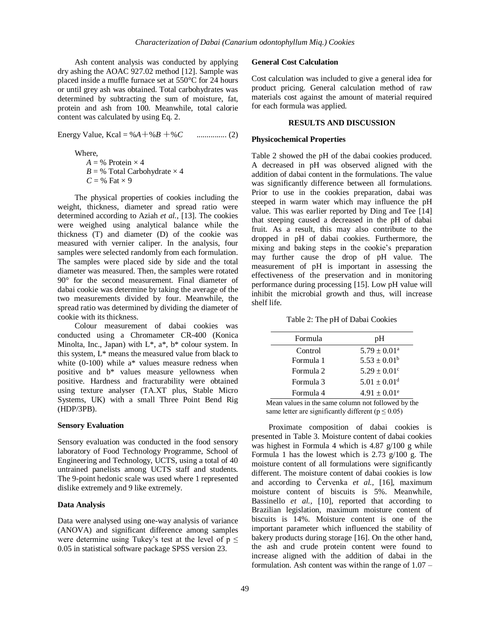Ash content analysis was conducted by applying dry ashing the AOAC 927.02 method [12]. Sample was placed inside a muffle furnace set at 550°C for 24 hours or until grey ash was obtained. Total carbohydrates was determined by subtracting the sum of moisture, fat, protein and ash from 100. Meanwhile, total calorie content was calculated by using Eq. 2.

Energy Value, Kcal = %*A*+%*B* +%*C* ............... (2)

Where,

 $A = \%$  Protein  $\times$  4  $B = \%$  Total Carbohydrate  $\times$  4  $C = \%$  Fat  $\times$  9

The physical properties of cookies including the weight, thickness, diameter and spread ratio were determined according to Aziah *et al.,* [13]. The cookies were weighed using analytical balance while the thickness (T) and diameter (D) of the cookie was measured with vernier caliper. In the analysis, four samples were selected randomly from each formulation. The samples were placed side by side and the total diameter was measured. Then, the samples were rotated 90° for the second measurement. Final diameter of dabai cookie was determine by taking the average of the two measurements divided by four. Meanwhile, the spread ratio was determined by dividing the diameter of cookie with its thickness.

Colour measurement of dabai cookies was conducted using a Chromameter CR-400 (Konica Minolta, Inc., Japan) with  $L^*$ ,  $a^*$ ,  $b^*$  colour system. In this system, L\* means the measured value from black to white (0-100) while a\* values measure redness when positive and b\* values measure yellowness when positive. Hardness and fracturability were obtained using texture analyser (TA.XT plus, Stable Micro Systems, UK) with a small Three Point Bend Rig (HDP/3PB).

### **Sensory Evaluation**

Sensory evaluation was conducted in the food sensory laboratory of Food Technology Programme, School of Engineering and Technology, UCTS, using a total of 40 untrained panelists among UCTS staff and students. The 9-point hedonic scale was used where 1 represented dislike extremely and 9 like extremely.

### **Data Analysis**

Data were analysed using one-way analysis of variance (ANOVA) and significant difference among samples were determine using Tukey's test at the level of  $p \leq$ 0.05 in statistical software package SPSS version 23.

# **General Cost Calculation**

Cost calculation was included to give a general idea for product pricing. General calculation method of raw materials cost against the amount of material required for each formula was applied.

# **RESULTS AND DISCUSSION**

### **Physicochemical Properties**

Table 2 showed the pH of the dabai cookies produced. A decreased in pH was observed aligned with the addition of dabai content in the formulations. The value was significantly difference between all formulations. Prior to use in the cookies preparation, dabai was steeped in warm water which may influence the pH value. This was earlier reported by Ding and Tee [14] that steeping caused a decreased in the pH of dabai fruit. As a result, this may also contribute to the dropped in pH of dabai cookies. Furthermore, the mixing and baking steps in the cookie's preparation may further cause the drop of pH value. The measurement of pH is important in assessing the effectiveness of the preservation and in monitoring performance during processing [15]. Low pH value will inhibit the microbial growth and thus, will increase shelf life.

Table 2: The pH of Dabai Cookies

| Formula   | pH                           |
|-----------|------------------------------|
| Control   | $5.79 \pm 0.01^{\circ}$      |
| Formula 1 | $5.53 \pm 0.01^b$            |
| Formula 2 | $5.29 \pm 0.01$ <sup>c</sup> |
| Formula 3 | $5.01 \pm 0.01^d$            |
| Formula 4 | $4.91 \pm 0.01^e$            |

Mean values in the same column not followed by the same letter are significantly different ( $p \le 0.05$ )

Proximate composition of dabai cookies is presented in Table 3. Moisture content of dabai cookies was highest in Formula 4 which is 4.87 g/100 g while Formula 1 has the lowest which is 2.73 g/100 g. The moisture content of all formulations were significantly different. The moisture content of dabai cookies is low and according to Červenka *et al.,* [16], maximum moisture content of biscuits is 5%. Meanwhile, Bassinello *et al.,* [10], reported that according to Brazilian legislation, maximum moisture content of biscuits is 14%. Moisture content is one of the important parameter which influenced the stability of bakery products during storage [16]. On the other hand, the ash and crude protein content were found to increase aligned with the addition of dabai in the formulation. Ash content was within the range of 1.07 –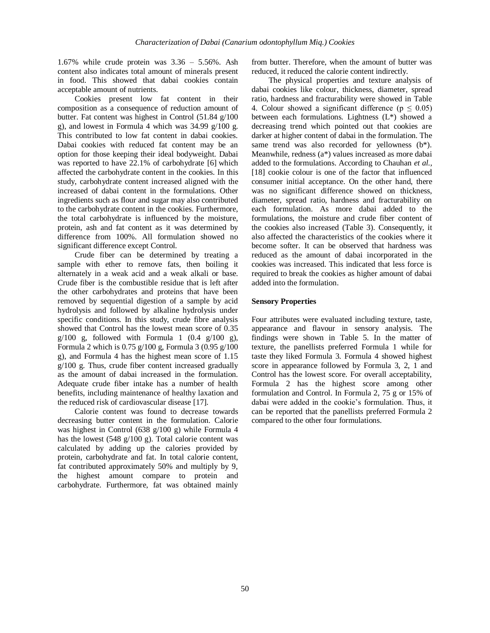1.67% while crude protein was 3.36 – 5.56%. Ash content also indicates total amount of minerals present in food. This showed that dabai cookies contain acceptable amount of nutrients.

Cookies present low fat content in their composition as a consequence of reduction amount of butter. Fat content was highest in Control (51.84 g/100 g), and lowest in Formula 4 which was 34.99 g/100 g. This contributed to low fat content in dabai cookies. Dabai cookies with reduced fat content may be an option for those keeping their ideal bodyweight. Dabai was reported to have 22.1% of carbohydrate [6] which affected the carbohydrate content in the cookies. In this study, carbohydrate content increased aligned with the increased of dabai content in the formulations. Other ingredients such as flour and sugar may also contributed to the carbohydrate content in the cookies. Furthermore, the total carbohydrate is influenced by the moisture, protein, ash and fat content as it was determined by difference from 100%. All formulation showed no significant difference except Control.

Crude fiber can be determined by treating a sample with ether to remove fats, then boiling it alternately in a weak acid and a weak alkali or base. Crude fiber is the combustible residue that is left after the other carbohydrates and proteins that have been removed by sequential digestion of a sample by acid hydrolysis and followed by alkaline hydrolysis under specific conditions. In this study, crude fibre analysis showed that Control has the lowest mean score of 0.35  $g/100$  g, followed with Formula 1 (0.4  $g/100$  g), Formula 2 which is 0.75 g/100 g, Formula 3 (0.95 g/100 g), and Formula 4 has the highest mean score of 1.15 g/100 g. Thus, crude fiber content increased gradually as the amount of dabai increased in the formulation. Adequate crude fiber intake has a number of health benefits, including maintenance of healthy laxation and the reduced risk of cardiovascular disease [17].

Calorie content was found to decrease towards decreasing butter content in the formulation. Calorie was highest in Control (638 g/100 g) while Formula 4 has the lowest (548 g/100 g). Total calorie content was calculated by adding up the calories provided by protein, carbohydrate and fat. In total calorie content, fat contributed approximately 50% and multiply by 9, the highest amount compare to protein and carbohydrate. Furthermore, fat was obtained mainly from butter. Therefore, when the amount of butter was reduced, it reduced the calorie content indirectly.

The physical properties and texture analysis of dabai cookies like colour, thickness, diameter, spread ratio, hardness and fracturability were showed in Table 4. Colour showed a significant difference ( $p \leq 0.05$ ) between each formulations. Lightness (L\*) showed a decreasing trend which pointed out that cookies are darker at higher content of dabai in the formulation. The same trend was also recorded for yellowness (b\*). Meanwhile, redness (a\*) values increased as more dabai added to the formulations. According to Chauhan *et al.,* [18] cookie colour is one of the factor that influenced consumer initial acceptance. On the other hand, there was no significant difference showed on thickness, diameter, spread ratio, hardness and fracturability on each formulation. As more dabai added to the formulations, the moisture and crude fiber content of the cookies also increased (Table 3). Consequently, it also affected the characteristics of the cookies where it become softer. It can be observed that hardness was reduced as the amount of dabai incorporated in the cookies was increased. This indicated that less force is required to break the cookies as higher amount of dabai added into the formulation.

### **Sensory Properties**

Four attributes were evaluated including texture, taste, appearance and flavour in sensory analysis. The findings were shown in Table 5. In the matter of texture, the panellists preferred Formula 1 while for taste they liked Formula 3. Formula 4 showed highest score in appearance followed by Formula 3, 2, 1 and Control has the lowest score. For overall acceptability, Formula 2 has the highest score among other formulation and Control. In Formula 2, 75 g or 15% of dabai were added in the cookie's formulation. Thus, it can be reported that the panellists preferred Formula 2 compared to the other four formulations.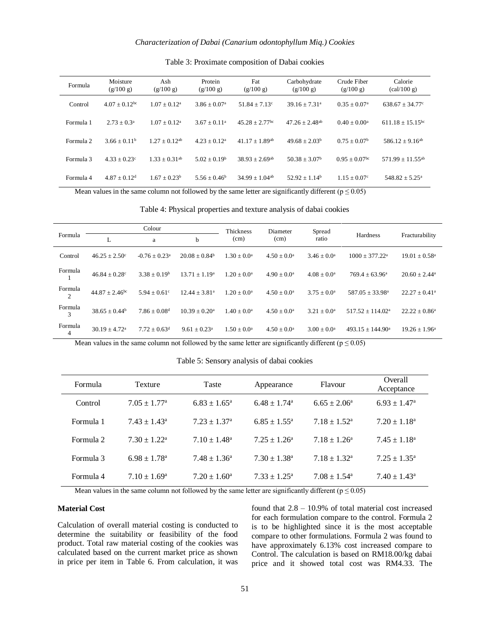| Formula   | Moisture<br>(g/100 g)       | Ash<br>(g/100 g)            | Protein<br>(g/100 g)       | Fat<br>(g/100 g)             | Carbohydrate<br>(g/100 g)    | Crude Fiber<br>(g/100 g)    | Calorie<br>$\left(\frac{\text{cal}}{100 \text{ g}}\right)$ |
|-----------|-----------------------------|-----------------------------|----------------------------|------------------------------|------------------------------|-----------------------------|------------------------------------------------------------|
| Control   | $4.07 + 0.12$ <sup>bc</sup> | $1.07 + 0.12^a$             | $3.86 + 0.07$ <sup>a</sup> | $51.84 + 7.13$ <sup>c</sup>  | $39.16 + 7.31a$              | $0.35 + 0.07^{\rm a}$       | $638.67 + 34.77$                                           |
| Formula 1 | $2.73 + 0.3^a$              | $1.07 + 0.12^a$             | $3.67 + 0.11a$             | $45.28 + 2.77$ <sup>bc</sup> | $47.26 + 2.48$ <sup>ab</sup> | $0.40 \pm 0.00^{\rm a}$     | $611.18 + 15.15$ <sup>bc</sup>                             |
| Formula 2 | $3.66 \pm 0.11^b$           | $1.27 + 0.12^{ab}$          | $4.23 + 0.12^a$            | $41.17 + 1.89$ <sup>ab</sup> | $49.68 + 2.03b$              | $0.75 + 0.07^b$             | $586.12 + 9.16^{ab}$                                       |
| Formula 3 | $4.33 + 0.23^{\circ}$       | $1.33 + 0.31$ <sup>ab</sup> | $5.02 + 0.19b$             | $38.93 + 2.69$ <sup>ab</sup> | $50.38 + 3.07b$              | $0.95 + 0.07$ <sup>bc</sup> | $571.99 + 11.55^{ab}$                                      |
| Formula 4 | $4.87 + 0.12^d$             | $1.67 + 0.23^b$             | $5.56 + 0.46^b$            | $34.99 + 1.04^{ab}$          | $52.92 + 1.14^b$             | $1.15 + 0.07^{\circ}$       | $548.82 + 5.25^{\circ}$                                    |

### Table 3: Proximate composition of Dabai cookies

Mean values in the same column not followed by the same letter are significantly different ( $p \le 0.05$ )

| Table 4: Physical properties and texture analysis of dabai cookies |  |  |  |  |  |
|--------------------------------------------------------------------|--|--|--|--|--|
|--------------------------------------------------------------------|--|--|--|--|--|

|                           |                              | Colour                      |                              |                           | Diameter               | Spread                    |                              |                               |  |
|---------------------------|------------------------------|-----------------------------|------------------------------|---------------------------|------------------------|---------------------------|------------------------------|-------------------------------|--|
| Formula<br>L              |                              | a                           | $\mathbf b$                  | (cm)                      | (cm)                   | ratio                     | Hardness                     | Fracturability                |  |
| Control                   | $46.25 \pm 2.50^{\circ}$     | $-0.76 + 0.23$ <sup>a</sup> | $20.08 + 0.84b$              | $1.30 + 0.0^a$            | $4.50 \pm 0.0^{\rm a}$ | $3.46 \pm 0.0^{\text{a}}$ | $1000 \pm 377.22^{\text{a}}$ | $19.01 \pm 0.58$ <sup>a</sup> |  |
| Formula                   | $46.84 + 0.28$ °             | $3.38 + 0.19^b$             | $13.71 \pm 1.19^{\circ}$     | $1.20 \pm 0.0^{\text{a}}$ | $4.90 + 0.0^a$         | $4.08 + 0.0^a$            | $769.4 + 63.96^a$            | $20.60 + 2.44^a$              |  |
| Formula<br>$\mathfrak{D}$ | $44.87 + 2.46$ <sup>bc</sup> | $5.94 + 0.61$ °             | $12.44 \pm 3.81^{\circ}$     | $1.20 + 0.0^a$            | $4.50 \pm 0.0^{\rm a}$ | $3.75 \pm 0.0^{\circ}$    | $587.05 + 33.98^{\text{a}}$  | $22.27 \pm 0.41$ <sup>a</sup> |  |
| Formula<br>3              | $38.65 \pm 0.44^b$           | $7.86 + 0.08$ <sup>d</sup>  | $10.39 \pm 0.20^{\circ}$     | $1.40 + 0.0^a$            | $4.50 + 0.0^a$         | $3.21 + 0.0^a$            | $517.52 + 114.02a$           | $22.22 + 0.86^a$              |  |
| Formula<br>4              | $30.19 + 4.72$ <sup>a</sup>  | $7.72 + 0.63$ <sup>d</sup>  | $9.61 \pm 0.23$ <sup>a</sup> | $1.50 + 0.0^a$            | $4.50 \pm 0.0^{\rm a}$ | $3.00 + 0.0^a$            | $493.15 + 144.90^a$          | $19.26 \pm 1.96^{\circ}$      |  |

Mean values in the same column not followed by the same letter are significantly different ( $p \le 0.05$ )

Table 5: Sensory analysis of dabai cookies

| Formula   | <b>Texture</b>               | Taste                   | Appearance                   | Flavour                      | Overall<br>Acceptance      |
|-----------|------------------------------|-------------------------|------------------------------|------------------------------|----------------------------|
| Control   | $7.05 \pm 1.77^{\rm a}$      | $6.83 \pm 1.65^{\circ}$ | $6.48 \pm 1.74$ <sup>a</sup> | $6.65 \pm 2.06^a$            | $6.93 \pm 1.47^{\circ}$    |
| Formula 1 | $7.43 + 1.43^a$              | $7.23 + 1.37a$          | $6.85 \pm 1.55^{\circ}$      | $7.18 + 1.52a$               | $7.20 \pm 1.18^a$          |
| Formula 2 | $7.30 + 1.22^a$              | $7.10 + 1.48^a$         | $7.25 + 1.26^a$              | $7.18 + 1.26^a$              | $7.45 \pm 1.18^a$          |
| Formula 3 | $6.98 \pm 1.78$ <sup>a</sup> | $7.48 \pm 1.36^a$       | $7.30 + 1.38a$               | $7.18 + 1.32a$               | $7.25 \pm 1.35^{\text{a}}$ |
| Formula 4 | $7.10 \pm 1.69^{\rm a}$      | $7.20 \pm 1.60^{\circ}$ | $7.33 + 1.25^a$              | $7.08 \pm 1.54$ <sup>a</sup> | $7.40 \pm 1.43^{\circ}$    |

Mean values in the same column not followed by the same letter are significantly different ( $p \le 0.05$ )

### **Material Cost**

Calculation of overall material costing is conducted to determine the suitability or feasibility of the food product. Total raw material costing of the cookies was calculated based on the current market price as shown in price per item in Table 6. From calculation, it was

found that 2.8 – 10.9% of total material cost increased for each formulation compare to the control. Formula 2 is to be highlighted since it is the most acceptable compare to other formulations. Formula 2 was found to have approximately 6.13% cost increased compare to Control. The calculation is based on RM18.00/kg dabai price and it showed total cost was RM4.33. The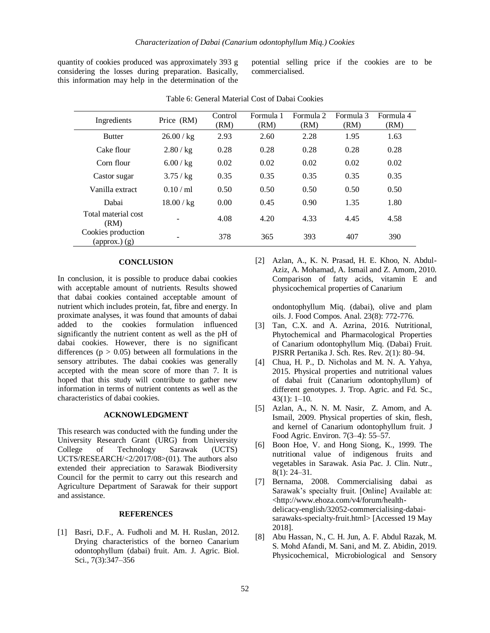quantity of cookies produced was approximately 393 g considering the losses during preparation. Basically, this information may help in the determination of the potential selling price if the cookies are to be commercialised.

| Ingredients                                                           | Price (RM) | Control<br>(RM) | Formula 1<br>(RM) | Formula 2<br>(RM) | Formula 3<br>(RM) | Formula 4<br>(RM) |
|-----------------------------------------------------------------------|------------|-----------------|-------------------|-------------------|-------------------|-------------------|
| <b>Butter</b>                                                         | 26.00 / kg | 2.93            | 2.60              | 2.28              | 1.95              | 1.63              |
| Cake flour                                                            | 2.80 / kg  | 0.28            | 0.28              | 0.28              | 0.28              | 0.28              |
| Corn flour                                                            | 6.00 / kg  | 0.02            | 0.02              | 0.02              | 0.02              | 0.02              |
| Castor sugar                                                          | 3.75 / kg  | 0.35            | 0.35              | 0.35              | 0.35              | 0.35              |
| Vanilla extract                                                       | 0.10/m1    | 0.50            | 0.50              | 0.50              | 0.50              | 0.50              |
| Dabai                                                                 | 18.00 / kg | 0.00            | 0.45              | 0.90              | 1.35              | 1.80              |
| Total material cost<br>(RM)                                           | ۰          | 4.08            | 4.20              | 4.33              | 4.45              | 4.58              |
| Cookies production<br>$\left($ approx. $\right)$ $\left($ g $\right)$ |            | 378             | 365               | 393               | 407               | 390               |

Table 6: General Material Cost of Dabai Cookies

### **CONCLUSION**

In conclusion, it is possible to produce dabai cookies with acceptable amount of nutrients. Results showed that dabai cookies contained acceptable amount of nutrient which includes protein, fat, fibre and energy. In proximate analyses, it was found that amounts of dabai added to the cookies formulation influenced significantly the nutrient content as well as the pH of dabai cookies. However, there is no significant differences ( $p > 0.05$ ) between all formulations in the sensory attributes. The dabai cookies was generally accepted with the mean score of more than 7. It is hoped that this study will contribute to gather new information in terms of nutrient contents as well as the characteristics of dabai cookies.

### **ACKNOWLEDGMENT**

This research was conducted with the funding under the University Research Grant (URG) from University College of Technology Sarawak (UCTS) UCTS/RESEARCH/<2/2017/08>(01). The authors also extended their appreciation to Sarawak Biodiversity Council for the permit to carry out this research and Agriculture Department of Sarawak for their support and assistance.

# **REFERENCES**

[1] Basri, D.F., A. Fudholi and M. H. Ruslan, 2012. Drying characteristics of the borneo Canarium odontophyllum (dabai) fruit. Am. J. Agric. Biol. Sci., 7(3):347–356

[2] Azlan, A., K. N. Prasad, H. E. Khoo, N. Abdul-Aziz, A. Mohamad, A. Ismail and Z. Amom, 2010. Comparison of fatty acids, vitamin E and physicochemical properties of Canarium

ondontophyllum Miq. (dabai), olive and plam oils. J. Food Compos. Anal. 23(8): 772-776.

- [3] Tan, C.X. and A. Azrina, 2016. Nutritional, Phytochemical and Pharmacological Properties of Canarium odontophyllum Miq. (Dabai) Fruit. PJSRR Pertanika J. Sch. Res. Rev. 2(1): 80–94.
- [4] Chua, H. P., D. Nicholas and M. N. A. Yahya, 2015. Physical properties and nutritional values of dabai fruit (Canarium odontophyllum) of different genotypes. J. Trop. Agric. and Fd. Sc., 43(1): 1–10.
- [5] Azlan, A., N. N. M. Nasir, Z. Amom, and A. Ismail, 2009. Physical properties of skin, flesh, and kernel of Canarium odontophyllum fruit. J Food Agric. Environ. 7(3–4): 55–57.
- [6] Boon Hoe, V. and Hong Siong, K., 1999. The nutritional value of indigenous fruits and vegetables in Sarawak. Asia Pac. J. Clin. Nutr., 8(1): 24–31.
- [7] Bernama, 2008. Commercialising dabai as Sarawak's specialty fruit. [Online] Available at: <http://www.ehoza.com/v4/forum/healthdelicacy-english/32052-commercialising-dabaisarawaks-specialty-fruit.html> [Accessed 19 May 2018].
- [8] Abu Hassan, N., C. H. Jun, A. F. Abdul Razak, M. S. Mohd Afandi, M. Sani, and M. Z. Abidin, 2019. Physicochemical, Microbiological and Sensory